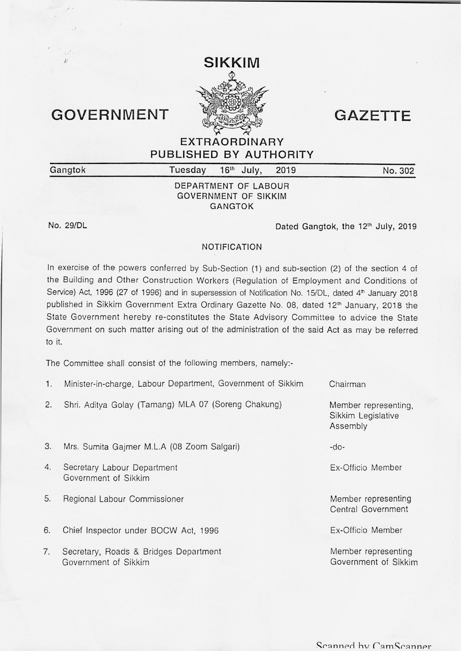## GOVERNMENT **WARRENT** GAZETTE

**EXTRAORDINARY PUBLISHED BY AUTHORITY** 

**Gangtok Tuesday** 

**1h July, 2019 No. 302** 

## **DEPARTMENT OF LABOUR GOVERNMENT OF SIKKIM GANGTOK**

**No. 29/DL** 

Dated Gangtok, the 12<sup>th</sup> July, 2019

## **NOTIFICATION**

In exercise of the powers conferred by Sub-Section **(1)** and sub-section (2) of the section 4 of the Building and Other Construction Workers (Regulation of Employment and Conditions of Service) Act, 1996 (27 of 1996) and in supersession of Notification No. 15/DL, dated 4<sup>th</sup> January 2018 published in Sikkim Government Extra Ordinary Gazette No. 08, dated 12<sup>th</sup> January, 2018 the State Government hereby re-constitutes the State Advisory Committee to advice the State Government on such matter arising out of the administration of the said Act as may be referred to it.

The Committee shall consist of the following members, namely:-

- **1.** Minister-in-charge, Labour Department, Government of Sikkim Chairman
- 2. Shri. Aditya Golay (Tamang) MLA 07 (Soreng Chakung)
- 3. Mrs. Sumita Gajmer M.L.A (08 Zoom Salgari)
- 4. Secretary Labour Department Government of Sikkim
- 5. Regional Labour Commissioner
- 6. Chief Inspector under BOCW Act, 1996
- 7. Secretary, Roads & Bridges Department Government of Sikkim

Member representing, Sikkim Legislative Assembly

-do-

Ex-Officio Member

Member representing Central Government

Ex-Officio Member

Member representing Government of Sikkim